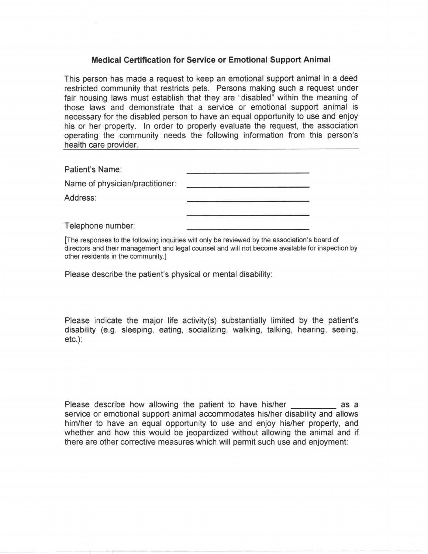## **Medical Certification for Service or Emotional Support Animal**

This person has made a request to keep an emotional support animal in a deed restricted community that restricts pets. Persons making such a request under fair housing laws must establish that they are "disabled" within the meaning of those laws and demonstrate that a service or emotional support animal is necessary for the disabled person to have an equal opportunity to use and enjoy his or her property. In order to properly evaluate the request, the association operating the community needs the following information from this person's health care provider.

Patient's Name:

Name of physician/practitioner:

Address:

Telephone number:

[The responses to the following inquiries will only be reviewed by the association's board of directors and their management and legal counsel and will not become available for inspection by other residents in the community.]

Please describe the patient's physical or mental disability:

Please indicate the major life activity(s) substantially limited by the patient's disability (e.g. sleeping, eating, socializing, walking, talking, hearing, seeing,  $etc.$ ):

Please describe how allowing the patient to have his/her as a service or emotional support animal accommodates his/her disability and allows him/her to have an equal opportunity to use and enjoy his/her property, and whether and how this would be jeopardized without allowing the animal and if there are other corrective measures which will permit such use and enjoyment: